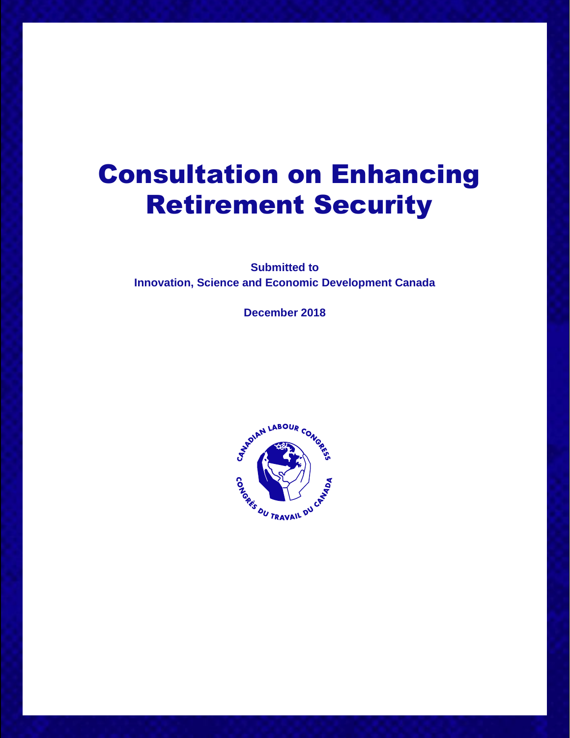# Consultation on Enhancing Retirement Security

**Submitted to Innovation, Science and Economic Development Canada**

**December 2018**

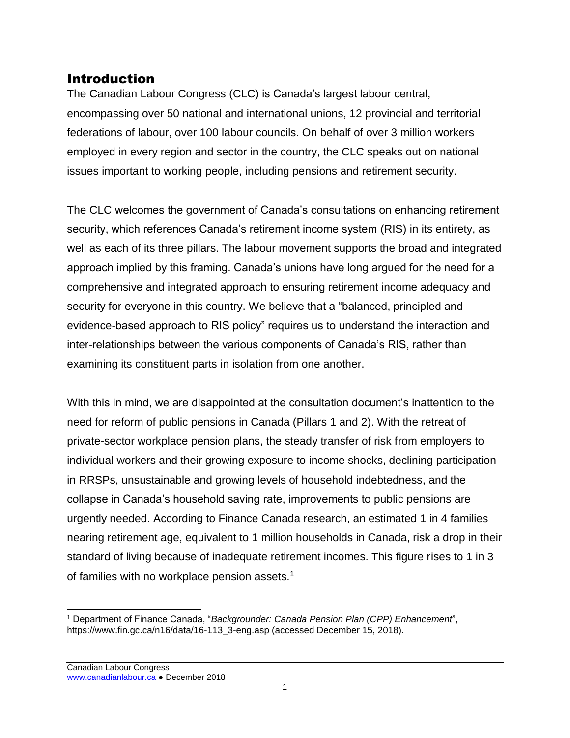# Introduction

The Canadian Labour Congress (CLC) is Canada's largest labour central, encompassing over 50 national and international unions, 12 provincial and territorial federations of labour, over 100 labour councils. On behalf of over 3 million workers employed in every region and sector in the country, the CLC speaks out on national issues important to working people, including pensions and retirement security.

The CLC welcomes the government of Canada's consultations on enhancing retirement security, which references Canada's retirement income system (RIS) in its entirety, as well as each of its three pillars. The labour movement supports the broad and integrated approach implied by this framing. Canada's unions have long argued for the need for a comprehensive and integrated approach to ensuring retirement income adequacy and security for everyone in this country. We believe that a "balanced, principled and evidence-based approach to RIS policy" requires us to understand the interaction and inter-relationships between the various components of Canada's RIS, rather than examining its constituent parts in isolation from one another.

With this in mind, we are disappointed at the consultation document's inattention to the need for reform of public pensions in Canada (Pillars 1 and 2). With the retreat of private-sector workplace pension plans, the steady transfer of risk from employers to individual workers and their growing exposure to income shocks, declining participation in RRSPs, unsustainable and growing levels of household indebtedness, and the collapse in Canada's household saving rate, improvements to public pensions are urgently needed. According to Finance Canada research, an estimated 1 in 4 families nearing retirement age, equivalent to 1 million households in Canada, risk a drop in their standard of living because of inadequate retirement incomes. This figure rises to 1 in 3 of families with no workplace pension assets.<sup>1</sup>

 $\overline{a}$ <sup>1</sup> Department of Finance Canada, "*Backgrounder: Canada Pension Plan (CPP) Enhancement*", https://www.fin.gc.ca/n16/data/16-113\_3-eng.asp (accessed December 15, 2018).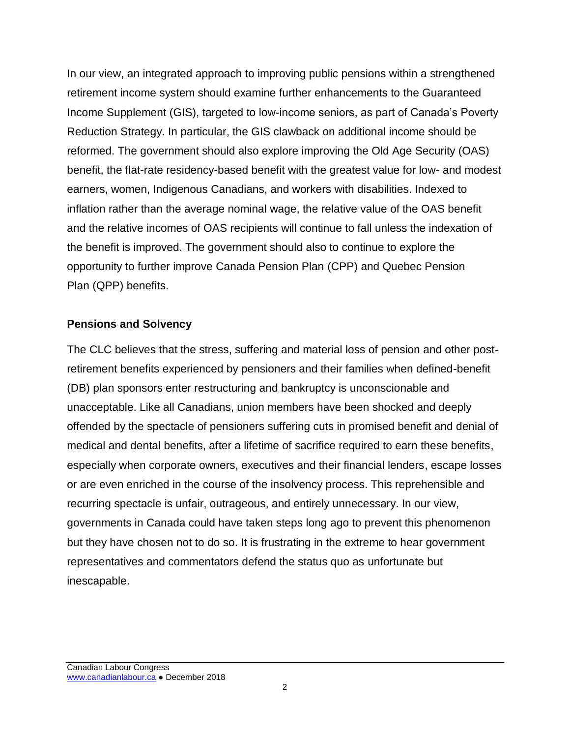In our view, an integrated approach to improving public pensions within a strengthened retirement income system should examine further enhancements to the Guaranteed Income Supplement (GIS), targeted to low-income seniors, as part of Canada's Poverty Reduction Strategy. In particular, the GIS clawback on additional income should be reformed. The government should also explore improving the Old Age Security (OAS) benefit, the flat-rate residency-based benefit with the greatest value for low- and modest earners, women, Indigenous Canadians, and workers with disabilities. Indexed to inflation rather than the average nominal wage, the relative value of the OAS benefit and the relative incomes of OAS recipients will continue to fall unless the indexation of the benefit is improved. The government should also to continue to explore the opportunity to further improve Canada Pension Plan (CPP) and Quebec Pension Plan (QPP) benefits.

#### **Pensions and Solvency**

The CLC believes that the stress, suffering and material loss of pension and other postretirement benefits experienced by pensioners and their families when defined-benefit (DB) plan sponsors enter restructuring and bankruptcy is unconscionable and unacceptable. Like all Canadians, union members have been shocked and deeply offended by the spectacle of pensioners suffering cuts in promised benefit and denial of medical and dental benefits, after a lifetime of sacrifice required to earn these benefits, especially when corporate owners, executives and their financial lenders, escape losses or are even enriched in the course of the insolvency process. This reprehensible and recurring spectacle is unfair, outrageous, and entirely unnecessary. In our view, governments in Canada could have taken steps long ago to prevent this phenomenon but they have chosen not to do so. It is frustrating in the extreme to hear government representatives and commentators defend the status quo as unfortunate but inescapable.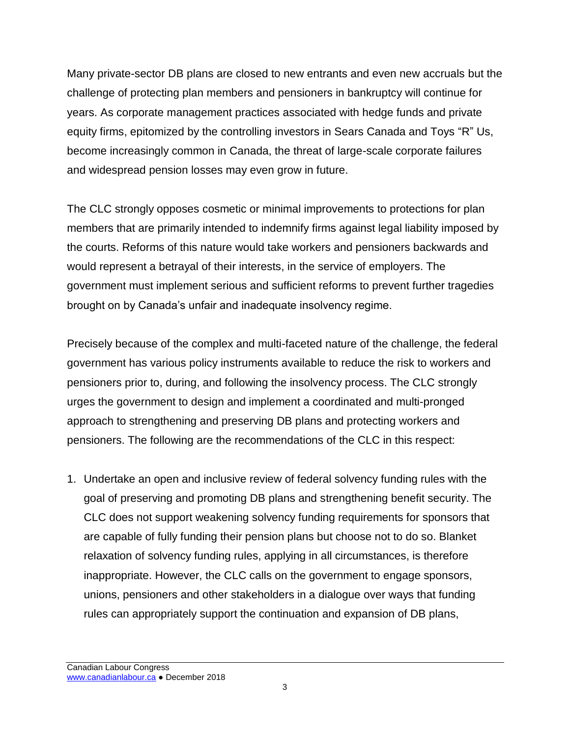Many private-sector DB plans are closed to new entrants and even new accruals but the challenge of protecting plan members and pensioners in bankruptcy will continue for years. As corporate management practices associated with hedge funds and private equity firms, epitomized by the controlling investors in Sears Canada and Toys "R" Us, become increasingly common in Canada, the threat of large-scale corporate failures and widespread pension losses may even grow in future.

The CLC strongly opposes cosmetic or minimal improvements to protections for plan members that are primarily intended to indemnify firms against legal liability imposed by the courts. Reforms of this nature would take workers and pensioners backwards and would represent a betrayal of their interests, in the service of employers. The government must implement serious and sufficient reforms to prevent further tragedies brought on by Canada's unfair and inadequate insolvency regime.

Precisely because of the complex and multi-faceted nature of the challenge, the federal government has various policy instruments available to reduce the risk to workers and pensioners prior to, during, and following the insolvency process. The CLC strongly urges the government to design and implement a coordinated and multi-pronged approach to strengthening and preserving DB plans and protecting workers and pensioners. The following are the recommendations of the CLC in this respect:

1. Undertake an open and inclusive review of federal solvency funding rules with the goal of preserving and promoting DB plans and strengthening benefit security. The CLC does not support weakening solvency funding requirements for sponsors that are capable of fully funding their pension plans but choose not to do so. Blanket relaxation of solvency funding rules, applying in all circumstances, is therefore inappropriate. However, the CLC calls on the government to engage sponsors, unions, pensioners and other stakeholders in a dialogue over ways that funding rules can appropriately support the continuation and expansion of DB plans,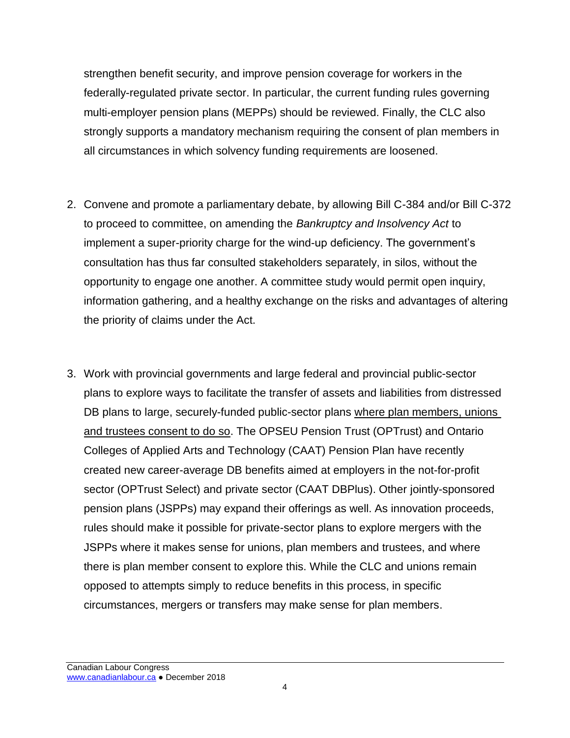strengthen benefit security, and improve pension coverage for workers in the federally-regulated private sector. In particular, the current funding rules governing multi-employer pension plans (MEPPs) should be reviewed. Finally, the CLC also strongly supports a mandatory mechanism requiring the consent of plan members in all circumstances in which solvency funding requirements are loosened.

- 2. Convene and promote a parliamentary debate, by allowing Bill C-384 and/or Bill C-372 to proceed to committee, on amending the *Bankruptcy and Insolvency Act* to implement a super-priority charge for the wind-up deficiency. The government's consultation has thus far consulted stakeholders separately, in silos, without the opportunity to engage one another. A committee study would permit open inquiry, information gathering, and a healthy exchange on the risks and advantages of altering the priority of claims under the Act.
- 3. Work with provincial governments and large federal and provincial public-sector plans to explore ways to facilitate the transfer of assets and liabilities from distressed DB plans to large, securely-funded public-sector plans where plan members, unions and trustees consent to do so. The OPSEU Pension Trust (OPTrust) and Ontario Colleges of Applied Arts and Technology (CAAT) Pension Plan have recently created new career-average DB benefits aimed at employers in the not-for-profit sector (OPTrust Select) and private sector (CAAT DBPlus). Other jointly-sponsored pension plans (JSPPs) may expand their offerings as well. As innovation proceeds, rules should make it possible for private-sector plans to explore mergers with the JSPPs where it makes sense for unions, plan members and trustees, and where there is plan member consent to explore this. While the CLC and unions remain opposed to attempts simply to reduce benefits in this process, in specific circumstances, mergers or transfers may make sense for plan members.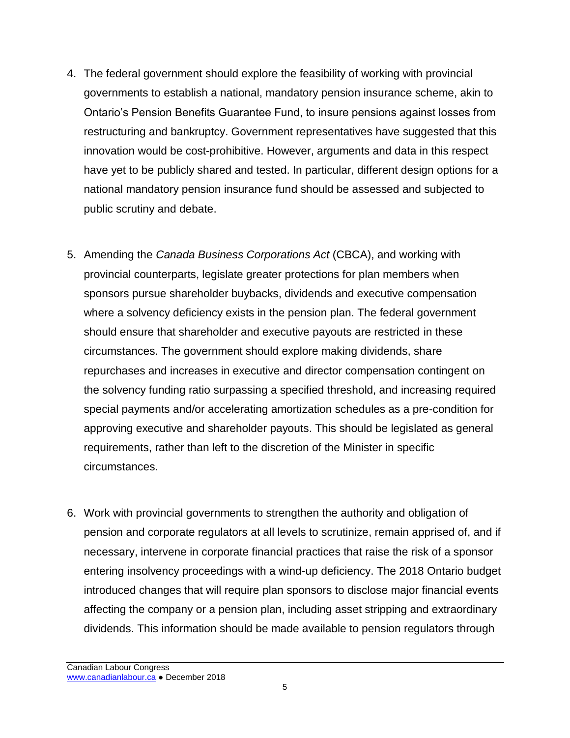- 4. The federal government should explore the feasibility of working with provincial governments to establish a national, mandatory pension insurance scheme, akin to Ontario's Pension Benefits Guarantee Fund, to insure pensions against losses from restructuring and bankruptcy. Government representatives have suggested that this innovation would be cost-prohibitive. However, arguments and data in this respect have yet to be publicly shared and tested. In particular, different design options for a national mandatory pension insurance fund should be assessed and subjected to public scrutiny and debate.
- 5. Amending the *Canada Business Corporations Act* (CBCA), and working with provincial counterparts, legislate greater protections for plan members when sponsors pursue shareholder buybacks, dividends and executive compensation where a solvency deficiency exists in the pension plan. The federal government should ensure that shareholder and executive payouts are restricted in these circumstances. The government should explore making dividends, share repurchases and increases in executive and director compensation contingent on the solvency funding ratio surpassing a specified threshold, and increasing required special payments and/or accelerating amortization schedules as a pre-condition for approving executive and shareholder payouts. This should be legislated as general requirements, rather than left to the discretion of the Minister in specific circumstances.
- 6. Work with provincial governments to strengthen the authority and obligation of pension and corporate regulators at all levels to scrutinize, remain apprised of, and if necessary, intervene in corporate financial practices that raise the risk of a sponsor entering insolvency proceedings with a wind-up deficiency. The 2018 Ontario budget introduced changes that will require plan sponsors to disclose major financial events affecting the company or a pension plan, including asset stripping and extraordinary dividends. This information should be made available to pension regulators through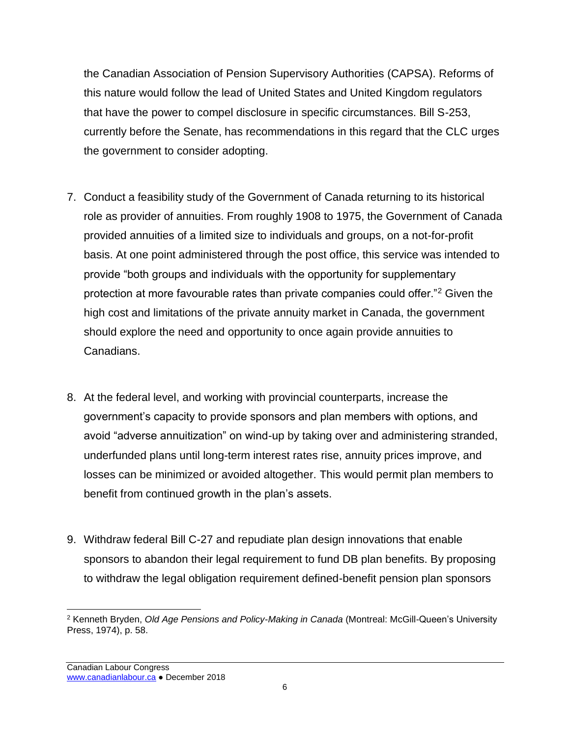the Canadian Association of Pension Supervisory Authorities (CAPSA). Reforms of this nature would follow the lead of United States and United Kingdom regulators that have the power to compel disclosure in specific circumstances. Bill S-253, currently before the Senate, has recommendations in this regard that the CLC urges the government to consider adopting.

- 7. Conduct a feasibility study of the Government of Canada returning to its historical role as provider of annuities. From roughly 1908 to 1975, the Government of Canada provided annuities of a limited size to individuals and groups, on a not-for-profit basis. At one point administered through the post office, this service was intended to provide "both groups and individuals with the opportunity for supplementary protection at more favourable rates than private companies could offer."<sup>2</sup> Given the high cost and limitations of the private annuity market in Canada, the government should explore the need and opportunity to once again provide annuities to Canadians.
- 8. At the federal level, and working with provincial counterparts, increase the government's capacity to provide sponsors and plan members with options, and avoid "adverse annuitization" on wind-up by taking over and administering stranded, underfunded plans until long-term interest rates rise, annuity prices improve, and losses can be minimized or avoided altogether. This would permit plan members to benefit from continued growth in the plan's assets.
- 9. Withdraw federal Bill C-27 and repudiate plan design innovations that enable sponsors to abandon their legal requirement to fund DB plan benefits. By proposing to withdraw the legal obligation requirement defined-benefit pension plan sponsors

 $\overline{a}$ <sup>2</sup> Kenneth Bryden, *Old Age Pensions and Policy-Making in Canada* (Montreal: McGill-Queen's University Press, 1974), p. 58.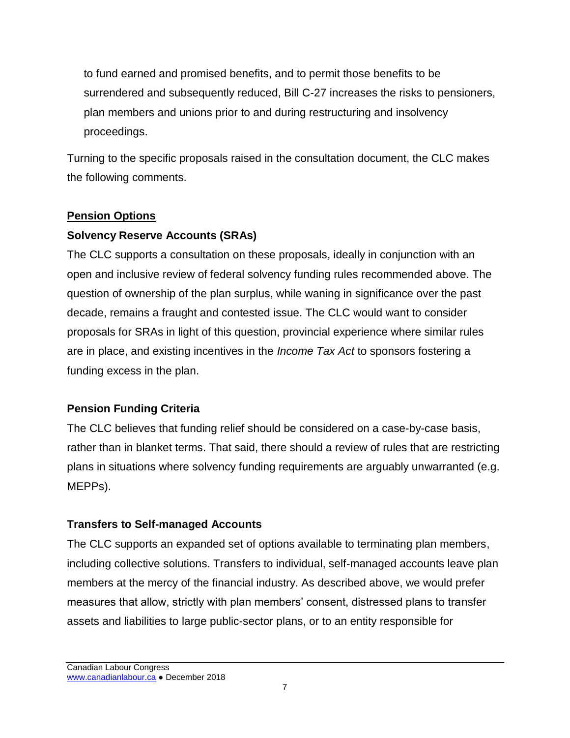to fund earned and promised benefits, and to permit those benefits to be surrendered and subsequently reduced, Bill C-27 increases the risks to pensioners, plan members and unions prior to and during restructuring and insolvency proceedings.

Turning to the specific proposals raised in the consultation document, the CLC makes the following comments.

# **Pension Options**

# **Solvency Reserve Accounts (SRAs)**

The CLC supports a consultation on these proposals, ideally in conjunction with an open and inclusive review of federal solvency funding rules recommended above. The question of ownership of the plan surplus, while waning in significance over the past decade, remains a fraught and contested issue. The CLC would want to consider proposals for SRAs in light of this question, provincial experience where similar rules are in place, and existing incentives in the *Income Tax Act* to sponsors fostering a funding excess in the plan.

# **Pension Funding Criteria**

The CLC believes that funding relief should be considered on a case-by-case basis, rather than in blanket terms. That said, there should a review of rules that are restricting plans in situations where solvency funding requirements are arguably unwarranted (e.g. MEPPs).

# **Transfers to Self-managed Accounts**

The CLC supports an expanded set of options available to terminating plan members, including collective solutions. Transfers to individual, self-managed accounts leave plan members at the mercy of the financial industry. As described above, we would prefer measures that allow, strictly with plan members' consent, distressed plans to transfer assets and liabilities to large public-sector plans, or to an entity responsible for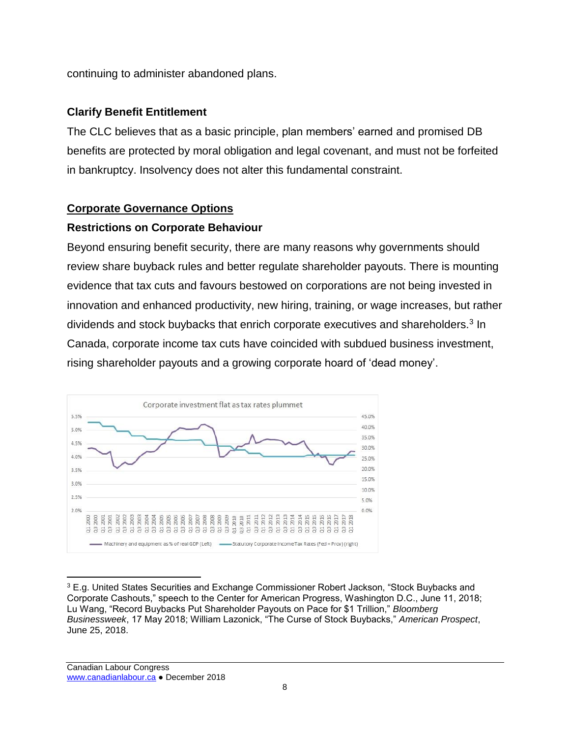continuing to administer abandoned plans.

#### **Clarify Benefit Entitlement**

The CLC believes that as a basic principle, plan members' earned and promised DB benefits are protected by moral obligation and legal covenant, and must not be forfeited in bankruptcy. Insolvency does not alter this fundamental constraint.

#### **Corporate Governance Options**

#### **Restrictions on Corporate Behaviour**

Beyond ensuring benefit security, there are many reasons why governments should review share buyback rules and better regulate shareholder payouts. There is mounting evidence that tax cuts and favours bestowed on corporations are not being invested in innovation and enhanced productivity, new hiring, training, or wage increases, but rather dividends and stock buybacks that enrich corporate executives and shareholders.<sup>3</sup> In Canada, corporate income tax cuts have coincided with subdued business investment, rising shareholder payouts and a growing corporate hoard of 'dead money'.



 $\overline{a}$ <sup>3</sup> E.g. United States Securities and Exchange Commissioner Robert Jackson, "Stock Buybacks and Corporate Cashouts," speech to the Center for American Progress, Washington D.C., June 11, 2018; Lu Wang, "Record Buybacks Put Shareholder Payouts on Pace for \$1 Trillion," *Bloomberg Businessweek*, 17 May 2018; William Lazonick, "The Curse of Stock Buybacks," *American Prospect*, June 25, 2018.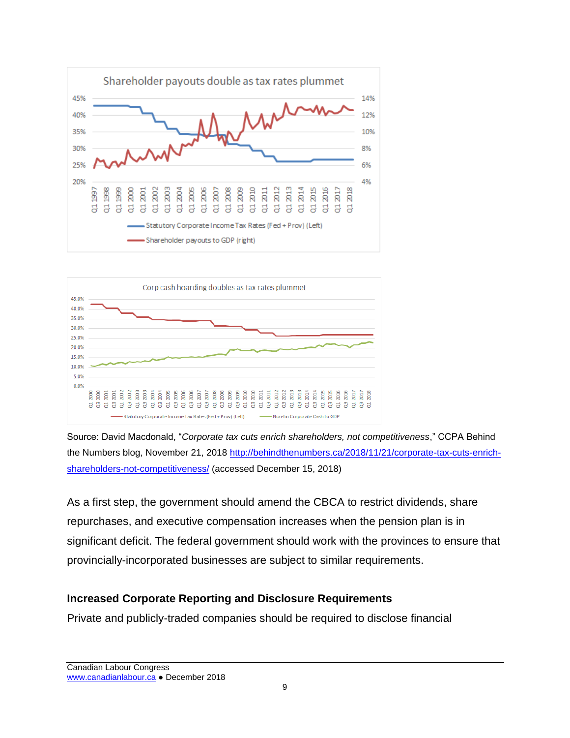



Source: David Macdonald, "*Corporate tax cuts enrich shareholders, not competitiveness*," CCPA Behind the Numbers blog, November 21, 2018 [http://behindthenumbers.ca/2018/11/21/corporate-tax-cuts-enrich](http://behindthenumbers.ca/2018/11/21/corporate-tax-cuts-enrich-shareholders-not-competitiveness/)[shareholders-not-competitiveness/](http://behindthenumbers.ca/2018/11/21/corporate-tax-cuts-enrich-shareholders-not-competitiveness/) (accessed December 15, 2018)

As a first step, the government should amend the CBCA to restrict dividends, share repurchases, and executive compensation increases when the pension plan is in significant deficit. The federal government should work with the provinces to ensure that provincially-incorporated businesses are subject to similar requirements.

# **Increased Corporate Reporting and Disclosure Requirements**

Private and publicly-traded companies should be required to disclose financial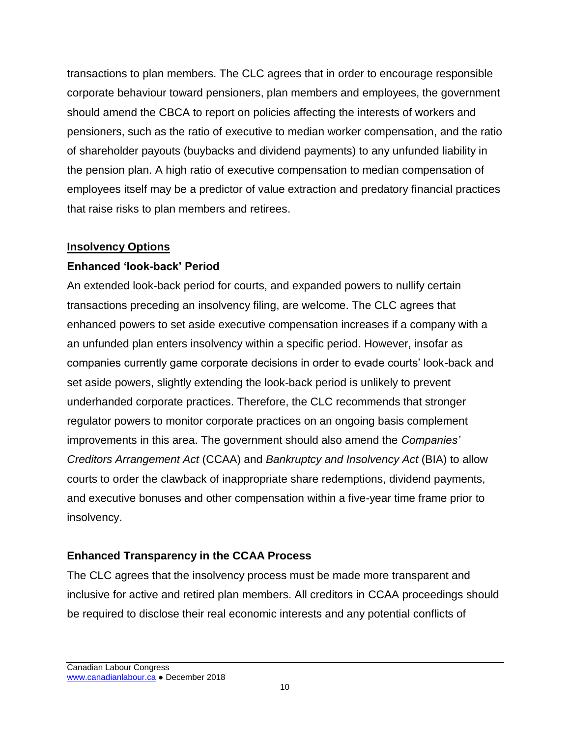transactions to plan members. The CLC agrees that in order to encourage responsible corporate behaviour toward pensioners, plan members and employees, the government should amend the CBCA to report on policies affecting the interests of workers and pensioners, such as the ratio of executive to median worker compensation, and the ratio of shareholder payouts (buybacks and dividend payments) to any unfunded liability in the pension plan. A high ratio of executive compensation to median compensation of employees itself may be a predictor of value extraction and predatory financial practices that raise risks to plan members and retirees.

#### **Insolvency Options**

# **Enhanced 'look-back' Period**

An extended look-back period for courts, and expanded powers to nullify certain transactions preceding an insolvency filing, are welcome. The CLC agrees that enhanced powers to set aside executive compensation increases if a company with a an unfunded plan enters insolvency within a specific period. However, insofar as companies currently game corporate decisions in order to evade courts' look-back and set aside powers, slightly extending the look-back period is unlikely to prevent underhanded corporate practices. Therefore, the CLC recommends that stronger regulator powers to monitor corporate practices on an ongoing basis complement improvements in this area. The government should also amend the *Companies' Creditors Arrangement Act* (CCAA) and *Bankruptcy and Insolvency Act* (BIA) to allow courts to order the clawback of inappropriate share redemptions, dividend payments, and executive bonuses and other compensation within a five-year time frame prior to insolvency.

# **Enhanced Transparency in the CCAA Process**

The CLC agrees that the insolvency process must be made more transparent and inclusive for active and retired plan members. All creditors in CCAA proceedings should be required to disclose their real economic interests and any potential conflicts of